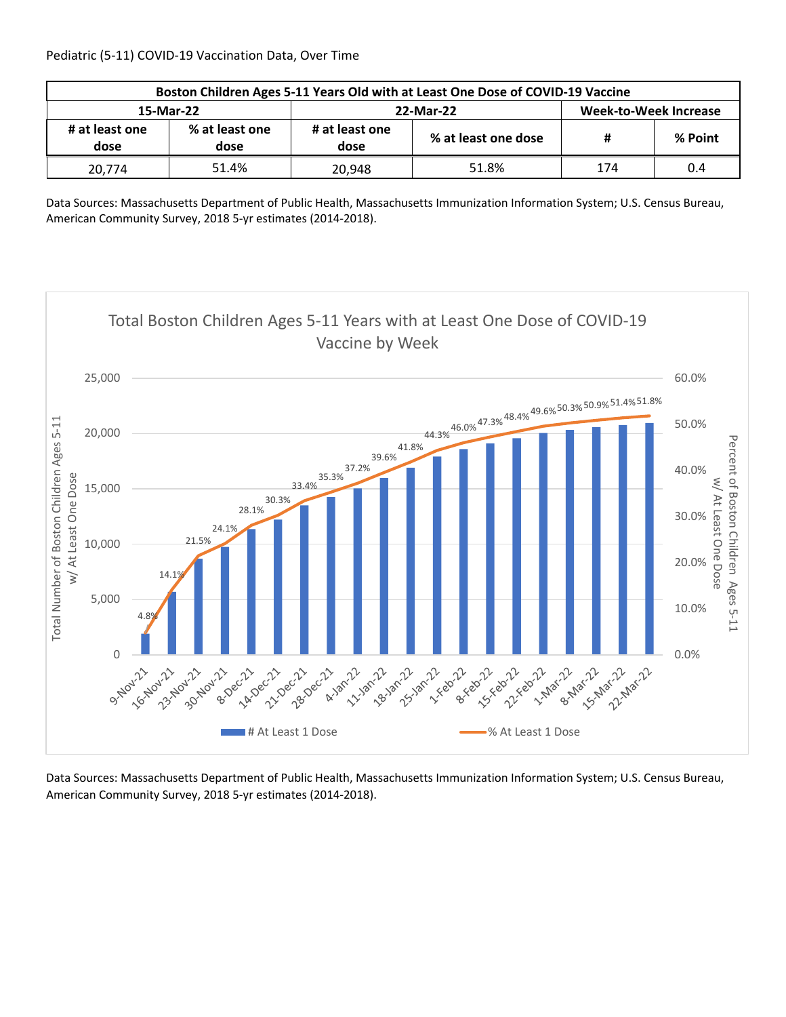| Boston Children Ages 5-11 Years Old with at Least One Dose of COVID-19 Vaccine |                        |                        |                     |                       |         |  |  |
|--------------------------------------------------------------------------------|------------------------|------------------------|---------------------|-----------------------|---------|--|--|
| 15-Mar-22                                                                      |                        |                        | 22-Mar-22           | Week-to-Week Increase |         |  |  |
| # at least one<br>dose                                                         | % at least one<br>dose | # at least one<br>dose | % at least one dose | #                     | % Point |  |  |
| 20,774                                                                         | 51.4%                  | 20.948                 | 51.8%               | 174                   | 0.4     |  |  |

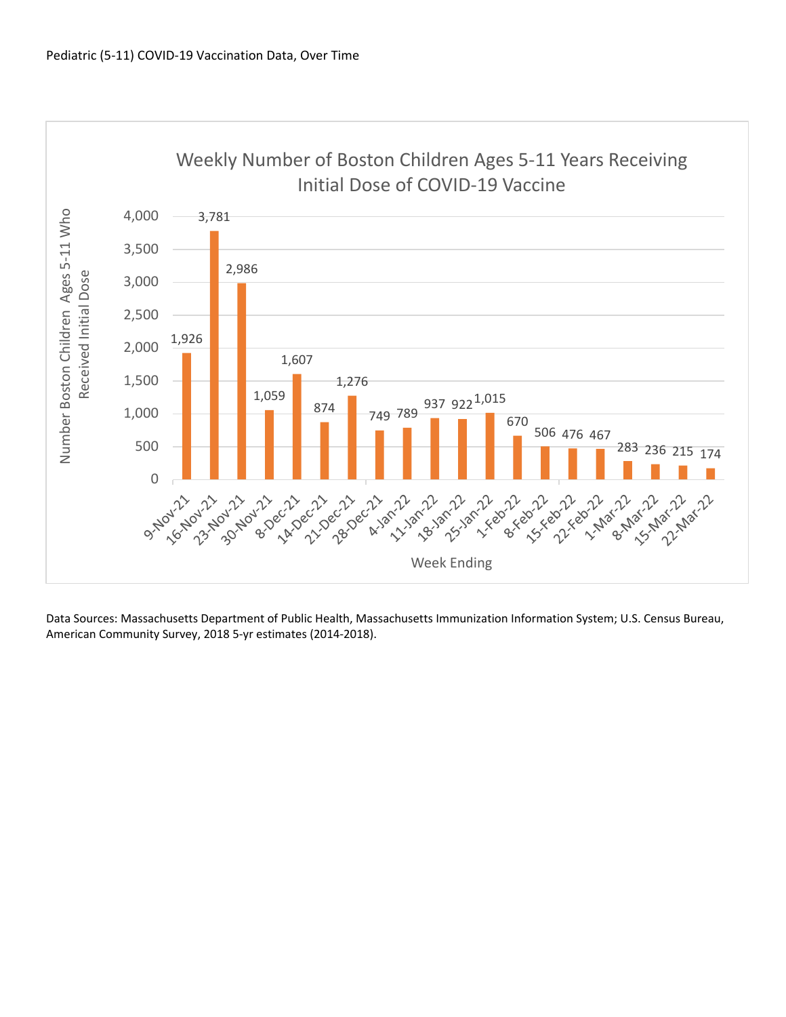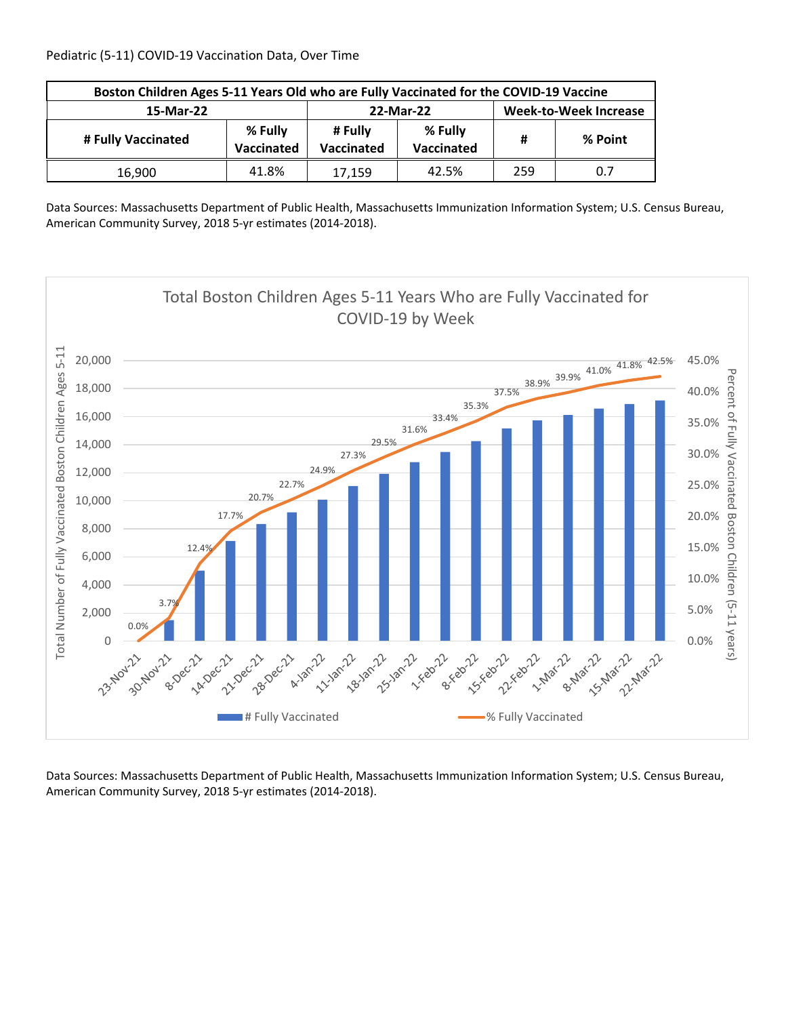| Boston Children Ages 5-11 Years Old who are Fully Vaccinated for the COVID-19 Vaccine |       |                       |                              |     |         |  |  |
|---------------------------------------------------------------------------------------|-------|-----------------------|------------------------------|-----|---------|--|--|
| 15-Mar-22                                                                             |       | 22-Mar-22             | <b>Week-to-Week Increase</b> |     |         |  |  |
| % Fully<br># Fully Vaccinated<br>Vaccinated                                           |       | # Fully<br>Vaccinated | % Fully<br>Vaccinated        | Ħ   | % Point |  |  |
| 16,900                                                                                | 41.8% | 17,159                | 42.5%                        | 259 | 0.7     |  |  |

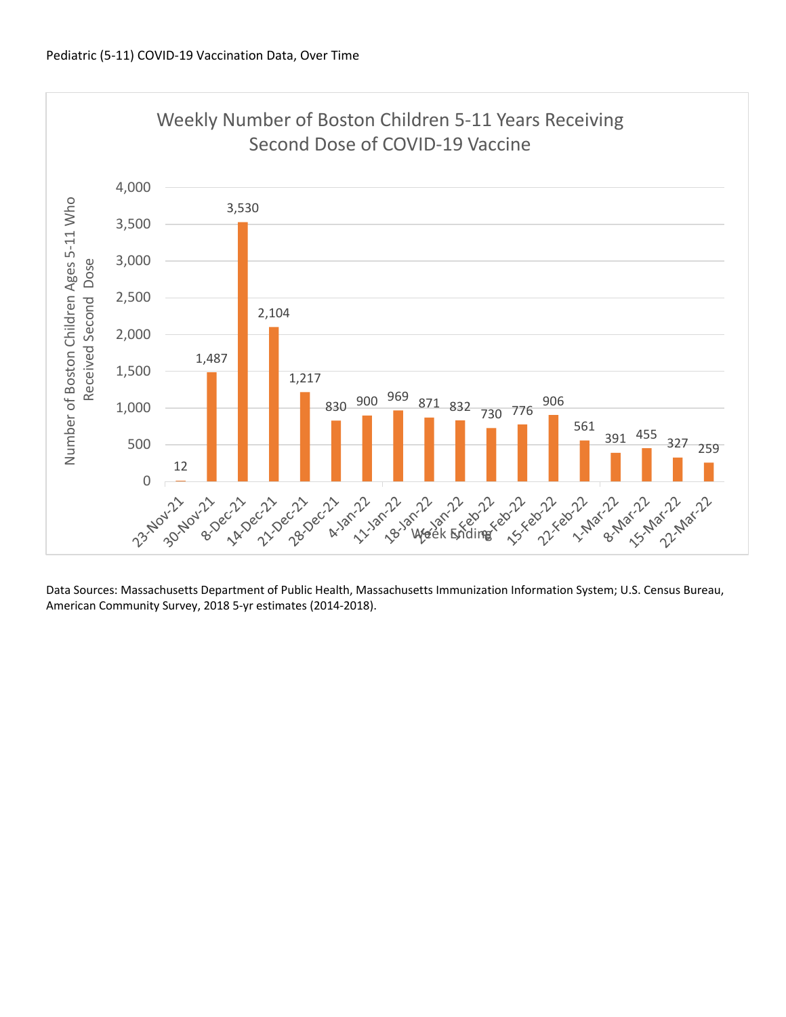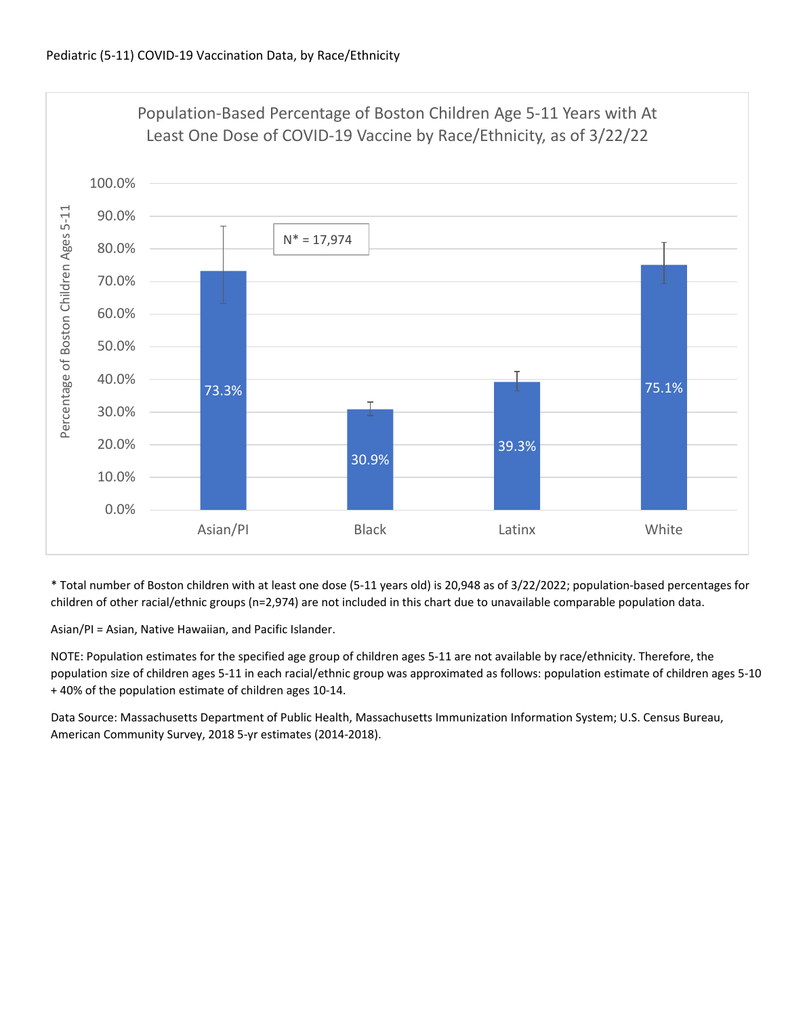

\* Total number of Boston children with at least one dose (5‐11 years old) is 20,948 as of 3/22/2022; population‐based percentages for children of other racial/ethnic groups (n=2,974) are not included in this chart due to unavailable comparable population data.

Asian/PI = Asian, Native Hawaiian, and Pacific Islander.

NOTE: Population estimates for the specified age group of children ages 5‐11 are not available by race/ethnicity. Therefore, the population size of children ages 5‐11 in each racial/ethnic group was approximated as follows: population estimate of children ages 5‐10 + 40% of the population estimate of children ages 10‐14.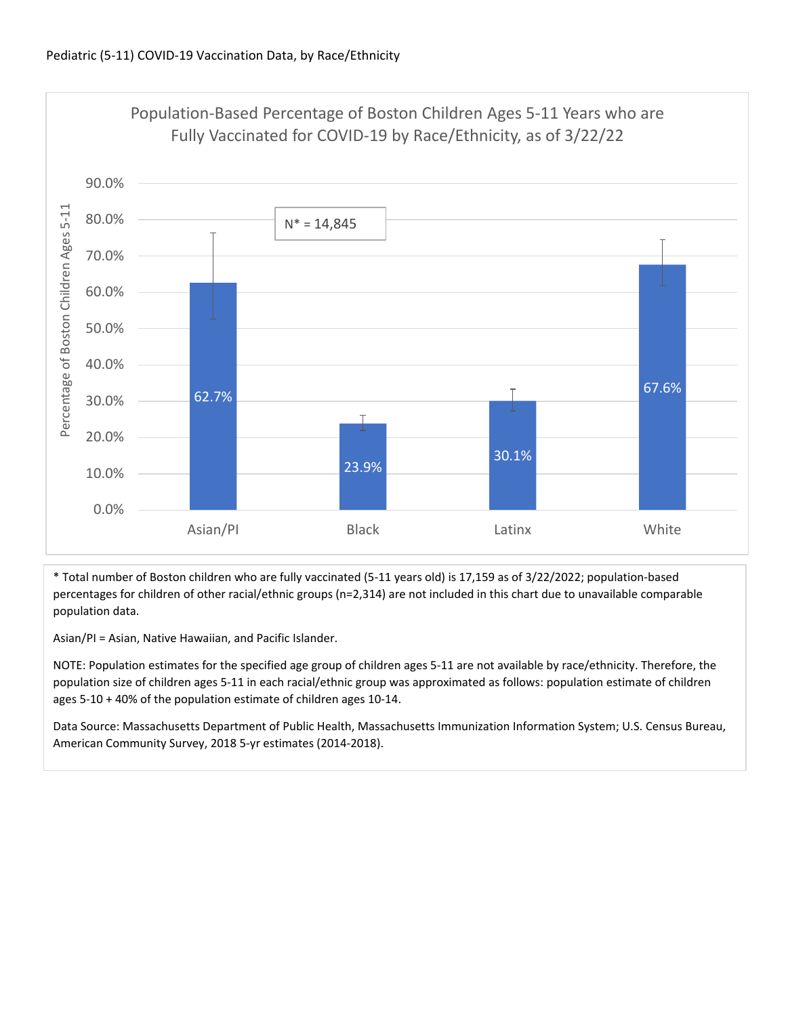

\* Total number of Boston children who are fully vaccinated (5‐11 years old) is 17,159 as of 3/22/2022; population‐based percentages for children of other racial/ethnic groups (n=2,314) are not included in this chart due to unavailable comparable population data.

Asian/PI = Asian, Native Hawaiian, and Pacific Islander.

NOTE: Population estimates for the specified age group of children ages 5‐11 are not available by race/ethnicity. Therefore, the population size of children ages 5‐11 in each racial/ethnic group was approximated as follows: population estimate of children ages 5‐10 + 40% of the population estimate of children ages 10‐14.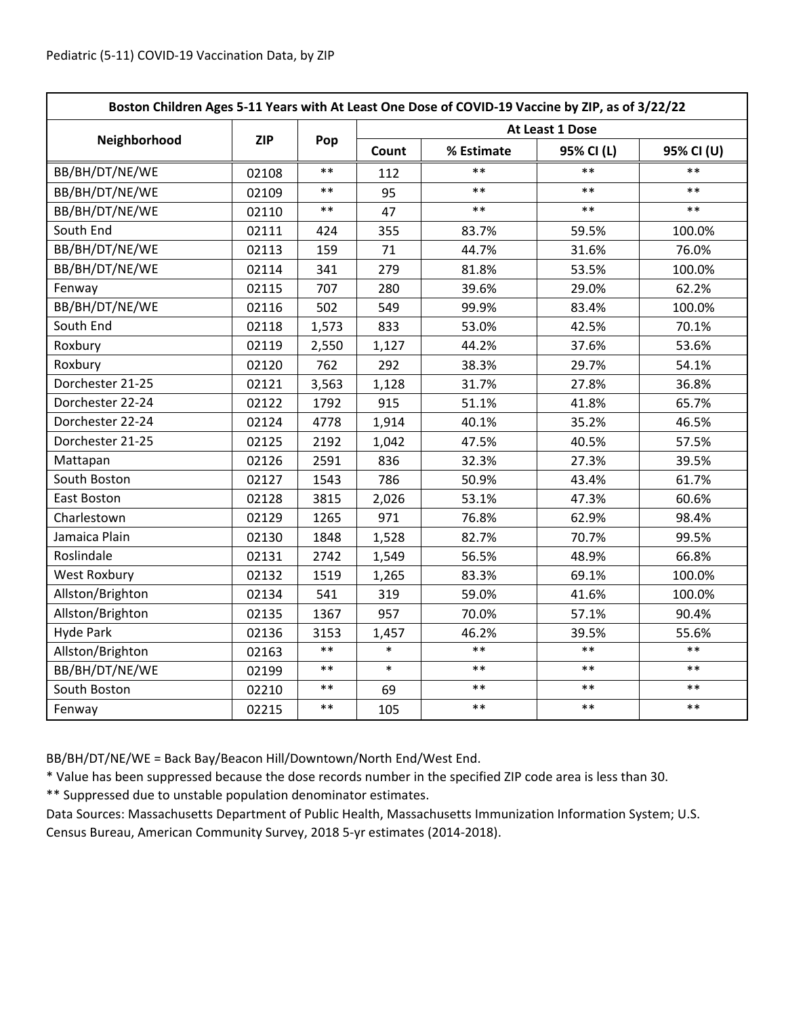| Boston Children Ages 5-11 Years with At Least One Dose of COVID-19 Vaccine by ZIP, as of 3/22/22 |            |            |                 |            |            |            |  |
|--------------------------------------------------------------------------------------------------|------------|------------|-----------------|------------|------------|------------|--|
|                                                                                                  |            | Pop        | At Least 1 Dose |            |            |            |  |
| Neighborhood                                                                                     | <b>ZIP</b> |            | Count           | % Estimate | 95% CI (L) | 95% CI (U) |  |
| BB/BH/DT/NE/WE                                                                                   | 02108      | $**$       | 112             | $***$      | $**$       | $**$       |  |
| BB/BH/DT/NE/WE                                                                                   | 02109      | $***$      | 95              | $***$      | $***$      | $***$      |  |
| BB/BH/DT/NE/WE                                                                                   | 02110      | $***$      | 47              | $* *$      | $**$       | $**$       |  |
| South End                                                                                        | 02111      | 424        | 355             | 83.7%      | 59.5%      | 100.0%     |  |
| BB/BH/DT/NE/WE                                                                                   | 02113      | 159        | 71              | 44.7%      | 31.6%      | 76.0%      |  |
| BB/BH/DT/NE/WE                                                                                   | 02114      | 341        | 279             | 81.8%      | 53.5%      | 100.0%     |  |
| Fenway                                                                                           | 02115      | 707        | 280             | 39.6%      | 29.0%      | 62.2%      |  |
| BB/BH/DT/NE/WE                                                                                   | 02116      | 502        | 549             | 99.9%      | 83.4%      | 100.0%     |  |
| South End                                                                                        | 02118      | 1,573      | 833             | 53.0%      | 42.5%      | 70.1%      |  |
| Roxbury                                                                                          | 02119      | 2,550      | 1,127           | 44.2%      | 37.6%      | 53.6%      |  |
| Roxbury                                                                                          | 02120      | 762        | 292             | 38.3%      | 29.7%      | 54.1%      |  |
| Dorchester 21-25                                                                                 | 02121      | 3,563      | 1,128           | 31.7%      | 27.8%      | 36.8%      |  |
| Dorchester 22-24                                                                                 | 02122      | 1792       | 915             | 51.1%      | 41.8%      | 65.7%      |  |
| Dorchester 22-24                                                                                 | 02124      | 4778       | 1,914           | 40.1%      | 35.2%      | 46.5%      |  |
| Dorchester 21-25                                                                                 | 02125      | 2192       | 1,042           | 47.5%      | 40.5%      | 57.5%      |  |
| Mattapan                                                                                         | 02126      | 2591       | 836             | 32.3%      | 27.3%      | 39.5%      |  |
| South Boston                                                                                     | 02127      | 1543       | 786             | 50.9%      | 43.4%      | 61.7%      |  |
| East Boston                                                                                      | 02128      | 3815       | 2,026           | 53.1%      | 47.3%      | 60.6%      |  |
| Charlestown                                                                                      | 02129      | 1265       | 971             | 76.8%      | 62.9%      | 98.4%      |  |
| Jamaica Plain                                                                                    | 02130      | 1848       | 1,528           | 82.7%      | 70.7%      | 99.5%      |  |
| Roslindale                                                                                       | 02131      | 2742       | 1,549           | 56.5%      | 48.9%      | 66.8%      |  |
| <b>West Roxbury</b>                                                                              | 02132      | 1519       | 1,265           | 83.3%      | 69.1%      | 100.0%     |  |
| Allston/Brighton                                                                                 | 02134      | 541        | 319             | 59.0%      | 41.6%      | 100.0%     |  |
| Allston/Brighton                                                                                 | 02135      | 1367       | 957             | 70.0%      | 57.1%      | 90.4%      |  |
| <b>Hyde Park</b>                                                                                 | 02136      | 3153       | 1,457           | 46.2%      | 39.5%      | 55.6%      |  |
| Allston/Brighton                                                                                 | 02163      | $***$      | $\ast$          | $**$       | $***$      | $***$      |  |
| BB/BH/DT/NE/WE                                                                                   | 02199      | $***$      | $\ast$          | $**$       | $***$      | $***$      |  |
| South Boston                                                                                     | 02210      | $\ast\ast$ | 69              | $***$      | $***$      | $***$      |  |
| Fenway                                                                                           | 02215      | $***$      | 105             | $***$      | $***$      | $***$      |  |

BB/BH/DT/NE/WE = Back Bay/Beacon Hill/Downtown/North End/West End.

\* Value has been suppressed because the dose records number in the specified ZIP code area is less than 30.

\*\* Suppressed due to unstable population denominator estimates.